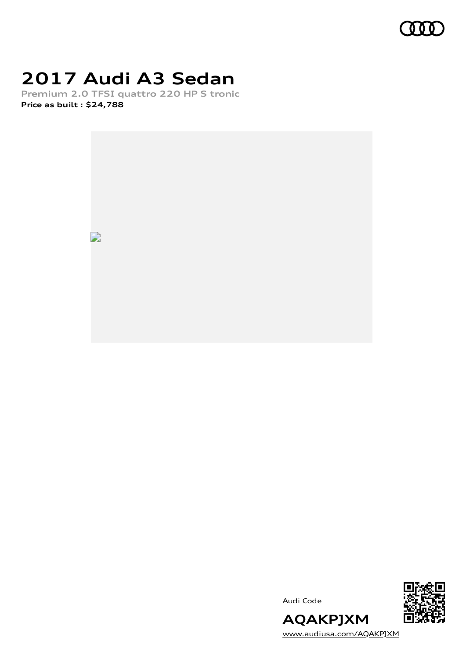

# **2017 Audi A3 Sedan**

**Premium 2.0 TFSI quattro 220 HP S tronic Price as built [:](#page-9-0) \$24,788**



Audi Code



[www.audiusa.com/AQAKPJXM](https://www.audiusa.com/AQAKPJXM)

**AQAKPJXM**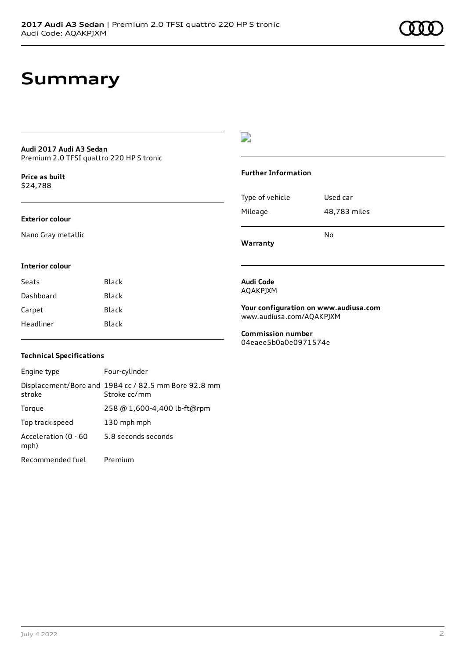# **Summary**

### **Audi 2017 Audi A3 Sedan** Premium 2.0 TFSI quattro 220 HP S tronic

**Price as buil[t](#page-9-0)** \$24,788

## **Exterior colour**

Nano Gray metallic

## $\overline{\phantom{a}}$

#### **Further Information**

|                 | N٥           |
|-----------------|--------------|
| Mileage         | 48,783 miles |
| Type of vehicle | Used car     |

**Warranty**

## **Interior colour**

| Seats     | <b>Black</b> |
|-----------|--------------|
| Dashboard | Black        |
| Carpet    | Black        |
| Headliner | Black        |
|           |              |

### **Audi Code** AQAKPJXM

**Your configuration on www.audiusa.com** [www.audiusa.com/AQAKPJXM](https://www.audiusa.com/AQAKPJXM)

**Commission number** 04eaee5b0a0e0971574e

## **Technical Specifications**

| Engine type                  | Four-cylinder                                                        |
|------------------------------|----------------------------------------------------------------------|
| stroke                       | Displacement/Bore and 1984 cc / 82.5 mm Bore 92.8 mm<br>Stroke cc/mm |
| Torque                       | 258 @ 1,600-4,400 lb-ft@rpm                                          |
| Top track speed              | 130 mph mph                                                          |
| Acceleration (0 - 60<br>mph) | 5.8 seconds seconds                                                  |
| Recommended fuel             | Premium                                                              |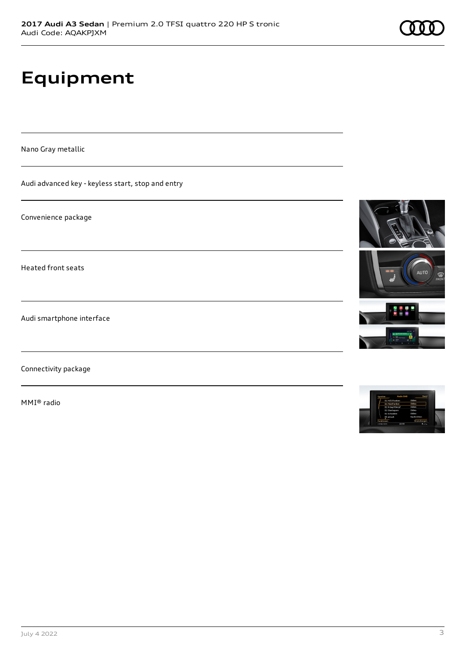# **Equipment**

Nano Gray metallic

Audi advanced key - keyless start, stop and entry

Convenience package

Heated front seats

Audi smartphone interface

Connectivity package

MMI® radio



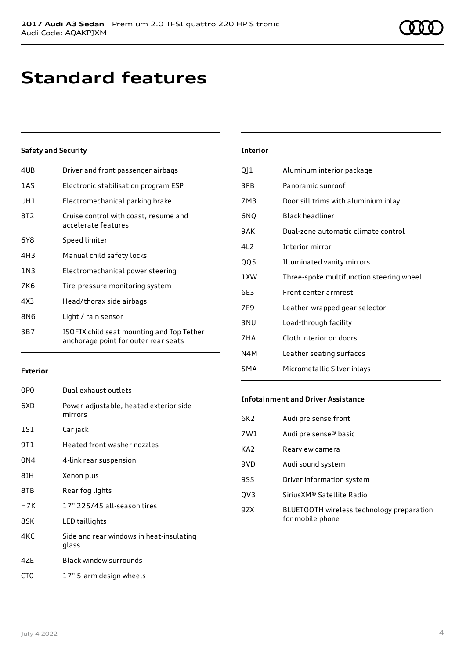# **Standard features**

## **Safety and Security**

| 1AS<br>Electronic stabilisation program ESP<br>UH1<br>Electromechanical parking brake<br>8T2<br>Cruise control with coast, resume and<br>accelerate features<br>Speed limiter<br>6Y8<br>4H3<br>Manual child safety locks<br>1 N 3<br>Electromechanical power steering<br>7K6<br>Tire-pressure monitoring system<br>Head/thorax side airbags<br>4X3<br>8N6<br>Light / rain sensor<br>3B7 | 4UB | Driver and front passenger airbags                                                |
|-----------------------------------------------------------------------------------------------------------------------------------------------------------------------------------------------------------------------------------------------------------------------------------------------------------------------------------------------------------------------------------------|-----|-----------------------------------------------------------------------------------|
|                                                                                                                                                                                                                                                                                                                                                                                         |     |                                                                                   |
|                                                                                                                                                                                                                                                                                                                                                                                         |     |                                                                                   |
|                                                                                                                                                                                                                                                                                                                                                                                         |     |                                                                                   |
|                                                                                                                                                                                                                                                                                                                                                                                         |     |                                                                                   |
|                                                                                                                                                                                                                                                                                                                                                                                         |     |                                                                                   |
|                                                                                                                                                                                                                                                                                                                                                                                         |     |                                                                                   |
|                                                                                                                                                                                                                                                                                                                                                                                         |     |                                                                                   |
|                                                                                                                                                                                                                                                                                                                                                                                         |     |                                                                                   |
|                                                                                                                                                                                                                                                                                                                                                                                         |     |                                                                                   |
|                                                                                                                                                                                                                                                                                                                                                                                         |     | ISOFIX child seat mounting and Top Tether<br>anchorage point for outer rear seats |

| <b>Interior</b> |                                          |
|-----------------|------------------------------------------|
| QJ1             | Aluminum interior package                |
| 3FB             | Panoramic sunroof                        |
| 7M3             | Door sill trims with aluminium inlay     |
| 6NQ             | <b>Black headliner</b>                   |
| 9AK             | Dual-zone automatic climate control      |
| 412             | Interior mirror                          |
| QQ5             | Illuminated vanity mirrors               |
| 1 XW            | Three-spoke multifunction steering wheel |
| 6F3             | Front center armrest                     |
| 7F9             | Leather-wrapped gear selector            |
| 3 NU            | Load-through facility                    |
| 7HA             | Cloth interior on doors                  |
| N4M             | Leather seating surfaces                 |
|                 |                                          |

## **Exterior**

| 0PO  | Dual exhaust outlets                              |
|------|---------------------------------------------------|
| 6XD  | Power-adjustable, heated exterior side<br>mirrors |
| 1S1  | Car jack                                          |
| 9T 1 | Heated front washer nozzles                       |
| 0N4  | 4-link rear suspension                            |
| 8IH  | Xenon plus                                        |
| 8TB  | Rear fog lights                                   |
| H7K  | 17" 225/45 all-season tires                       |
| 8SK  | LED taillights                                    |
| 4KC  | Side and rear windows in heat-insulating<br>glass |
| 47F  | Black window surrounds                            |

## CT0 17" 5-arm design wheels

## **Infotainment and Driver Assistance**

5MA Micrometallic Silver inlays

| 6K2             | Audi pre sense front                                          |
|-----------------|---------------------------------------------------------------|
| 7W1             | Audi pre sense <sup>®</sup> basic                             |
| KA <sub>2</sub> | Rearview camera                                               |
| 9VD             | Audi sound system                                             |
| <b>9S5</b>      | Driver information system                                     |
| QV3             | Sirius XM® Satellite Radio                                    |
| 9ZX             | BLUETOOTH wireless technology preparation<br>for mobile phone |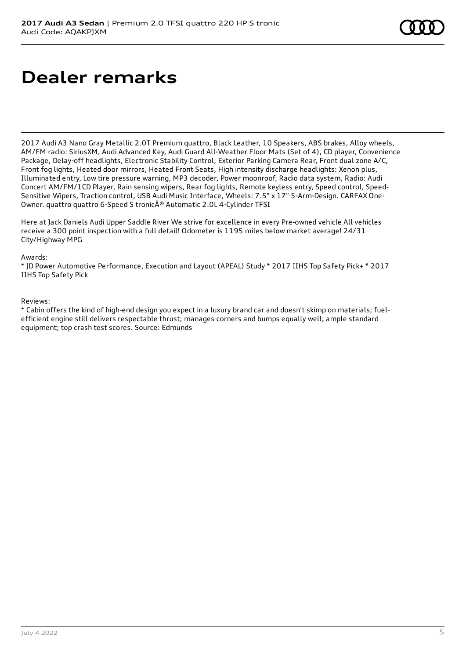# **Dealer remarks**

2017 Audi A3 Nano Gray Metallic 2.0T Premium quattro, Black Leather, 10 Speakers, ABS brakes, Alloy wheels, AM/FM radio: SiriusXM, Audi Advanced Key, Audi Guard All-Weather Floor Mats (Set of 4), CD player, Convenience Package, Delay-off headlights, Electronic Stability Control, Exterior Parking Camera Rear, Front dual zone A/C, Front fog lights, Heated door mirrors, Heated Front Seats, High intensity discharge headlights: Xenon plus, Illuminated entry, Low tire pressure warning, MP3 decoder, Power moonroof, Radio data system, Radio: Audi Concert AM/FM/1CD Player, Rain sensing wipers, Rear fog lights, Remote keyless entry, Speed control, Speed-Sensitive Wipers, Traction control, USB Audi Music Interface, Wheels: 7.5" x 17" 5-Arm-Design. CARFAX One-Owner. quattro quattro 6-Speed S tronic® Automatic 2.0L 4-Cylinder TFSI

Here at Jack Daniels Audi Upper Saddle River We strive for excellence in every Pre-owned vehicle All vehicles receive a 300 point inspection with a full detail! Odometer is 1195 miles below market average! 24/31 City/Highway MPG

Awards:

\* JD Power Automotive Performance, Execution and Layout (APEAL) Study \* 2017 IIHS Top Safety Pick+ \* 2017 IIHS Top Safety Pick

Reviews:

\* Cabin offers the kind of high-end design you expect in a luxury brand car and doesn't skimp on materials; fuelefficient engine still delivers respectable thrust; manages corners and bumps equally well; ample standard equipment; top crash test scores. Source: Edmunds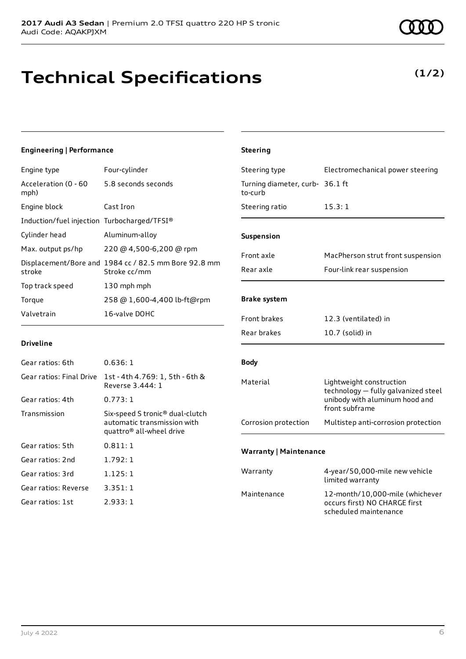# **Technical Specifications**

#### July 4 2022 6

**Driveline**

Gear ratios: 6th 0.636: 1

Gear ratios: 4th 0.773: 1

Gear ratios: 5th 0.811: 1 Gear ratios: 2nd 1.792: 1 Gear ratios: 3rd 1.125: 1 Gear ratios: Reverse 3.351: 1 Gear ratios: 1st 2.933: 1

## **Engineering | Performance**

| Engine type                                 | Four-cylinder                                                        |
|---------------------------------------------|----------------------------------------------------------------------|
| Acceleration (0 - 60<br>mph)                | 5.8 seconds seconds                                                  |
| Engine block                                | Cast Iron                                                            |
| Induction/fuel injection Turbocharged/TFSI® |                                                                      |
| Cylinder head                               | Aluminum-alloy                                                       |
| Max. output ps/hp                           | 220 @ 4,500-6,200 @ rpm                                              |
| stroke                                      | Displacement/Bore and 1984 cc / 82.5 mm Bore 92.8 mm<br>Stroke cc/mm |
| Top track speed                             | 130 mph mph                                                          |
| Torque                                      | 258 @ 1,600-4,400 lb-ft@rpm                                          |
| Valvetrain                                  | 16-valve DOHC                                                        |

Gear ratios: Final Drive 1st - 4th 4.769: 1, 5th - 6th &

Transmission Six-speed S tronic® dual-clutch

Reverse 3.444: 1

automatic transmission with quattro® all-wheel drive

## Turning diameter, curb-36.1 ft to-curb Steering ratio 15.3:1 **Suspension**

Front axle MacPherson strut front suspension Rear axle Four-link rear suspension

Steering type Electromechanical power steering

## **Brake system**

**Steering**

| Front brakes | 12.3 (ventilated) in |
|--------------|----------------------|
| Rear brakes  | $10.7$ (solid) in    |

## **Body**

| Material             | Lightweight construction<br>technology - fully galvanized steel<br>unibody with aluminum hood and<br>front subframe |
|----------------------|---------------------------------------------------------------------------------------------------------------------|
| Corrosion protection | Multistep anti-corrosion protection                                                                                 |

## **Warranty | Maintenance**

| Warranty    | 4-year/50,000-mile new vehicle<br>limited warranty                                        |
|-------------|-------------------------------------------------------------------------------------------|
| Maintenance | 12-month/10,000-mile (whichever<br>occurs first) NO CHARGE first<br>scheduled maintenance |

## **(1/2)**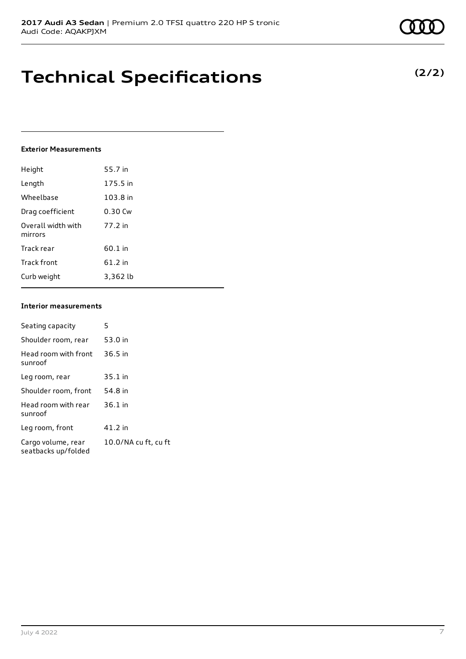# **Technical Specifications**

## **Exterior Measurements**

| Height                        | 55.7 in  |
|-------------------------------|----------|
| Length                        | 175.5 in |
| Wheelbase                     | 103.8 in |
| Drag coefficient              | 0.30 Cw  |
| Overall width with<br>mirrors | 77.2 in  |
| Track rear                    | 60.1 in  |
| Track front                   | 61.2 in  |
| Curb weight                   | 3,362 lb |

## **Interior measurements**

| Seating capacity                          | 5                    |
|-------------------------------------------|----------------------|
| Shoulder room, rear                       | 53.0 in              |
| Head room with front<br>sunroof           | $36.5$ in            |
| Leg room, rear                            | $35.1$ in            |
| Shoulder room, front                      | 54.8 in              |
| Head room with rear<br>sunroof            | $36.1$ in            |
| Leg room, front                           | 41.2 in              |
| Cargo volume, rear<br>seatbacks up/folded | 10.0/NA cu ft, cu ft |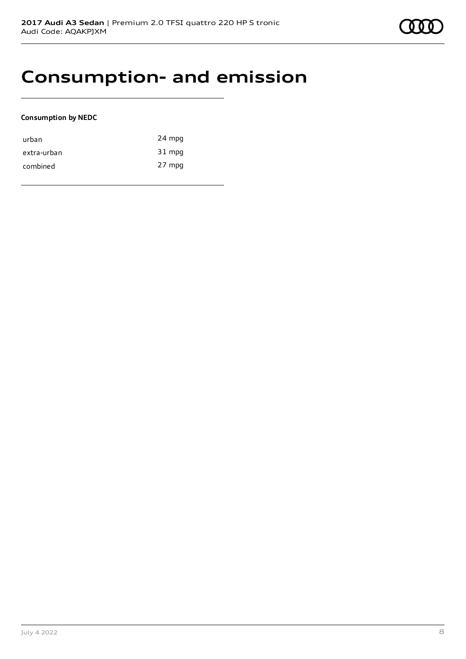# **Consumption- and emission**

## **Consumption by NEDC**

| urban       | 24 mpg |
|-------------|--------|
| extra-urban | 31 mpg |
| combined    | 27 mpg |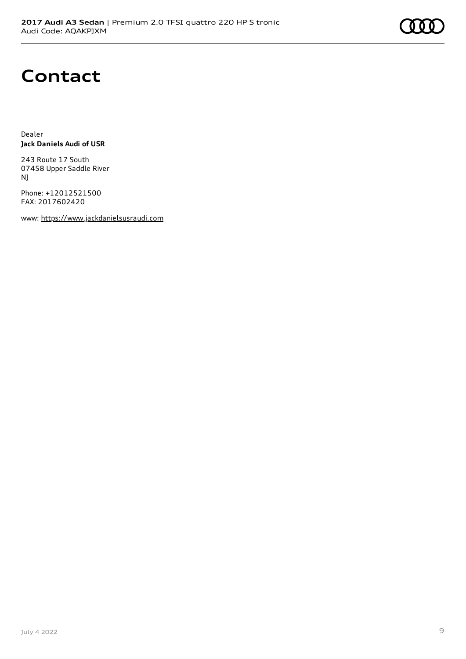

# **Contact**

Dealer **Jack Daniels Audi of USR**

243 Route 17 South 07458 Upper Saddle River NJ

Phone: +12012521500 FAX: 2017602420

www: [https://www.jackdanielsusraudi.com](https://www.jackdanielsusraudi.com/)